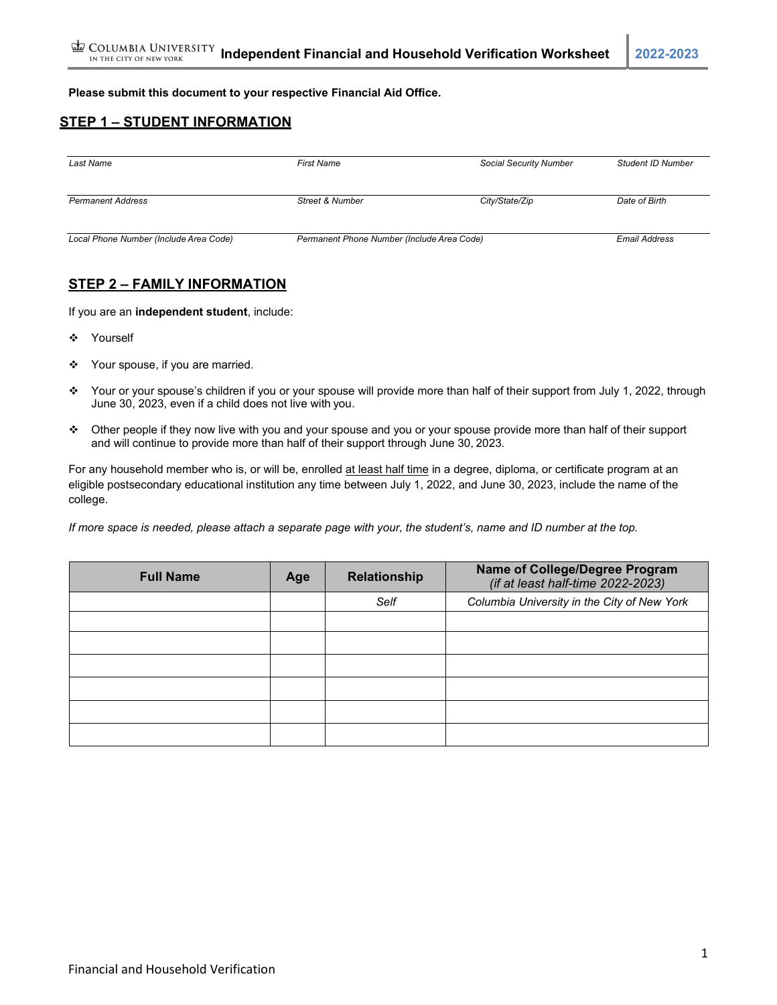#### **Please submit this document to your respective Financial Aid Office.**

# **STEP 1 – STUDENT INFORMATION**

| Last Name                              | <b>First Name</b>                          | <b>Social Security Number</b> | <b>Student ID Number</b> |
|----------------------------------------|--------------------------------------------|-------------------------------|--------------------------|
| <b>Permanent Address</b>               | <b>Street &amp; Number</b>                 | City/State/Zip                | Date of Birth            |
| Local Phone Number (Include Area Code) | Permanent Phone Number (Include Area Code) |                               | <b>Email Address</b>     |

## **STEP 2 – FAMILY INFORMATION**

If you are an **independent student**, include:

- ❖ Yourself
- ❖ Your spouse, if you are married.
- Your or your spouse's children if you or your spouse will provide more than half of their support from July 1, 2022, through June 30, 2023, even if a child does not live with you.
- Other people if they now live with you and your spouse and you or your spouse provide more than half of their support and will continue to provide more than half of their support through June 30, 2023.

For any household member who is, or will be, enrolled at least half time in a degree, diploma, or certificate program at an eligible postsecondary educational institution any time between July 1, 2022, and June 30, 2023, include the name of the college.

*If more space is needed, please attach a separate page with your, the student's, name and ID number at the top.*

| <b>Full Name</b> | Age | <b>Relationship</b> | Name of College/Degree Program<br>(if at least half-time 2022-2023) |
|------------------|-----|---------------------|---------------------------------------------------------------------|
|                  |     | Self                | Columbia University in the City of New York                         |
|                  |     |                     |                                                                     |
|                  |     |                     |                                                                     |
|                  |     |                     |                                                                     |
|                  |     |                     |                                                                     |
|                  |     |                     |                                                                     |
|                  |     |                     |                                                                     |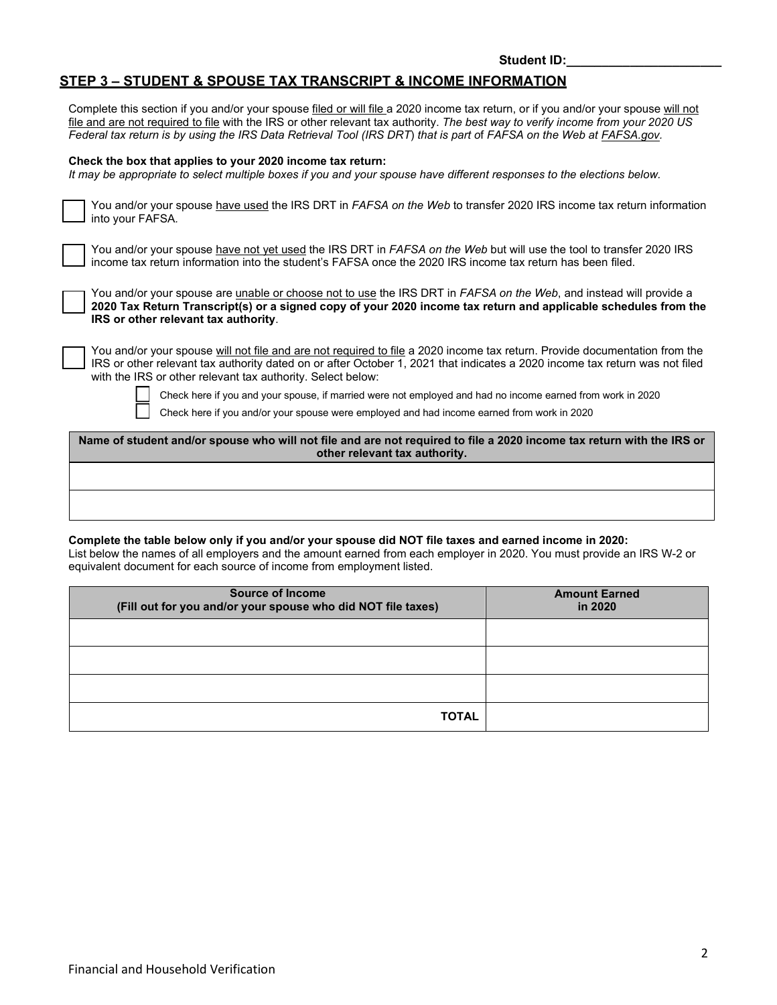### **STEP 3 – STUDENT & SPOUSE TAX TRANSCRIPT & INCOME INFORMATION**

Complete this section if you and/or your spouse filed or will file a 2020 income tax return, or if you and/or your spouse will not file and are not required to file with the IRS or other relevant tax authority. *The best way to verify income from your 2020 US Federal tax return is by using the IRS Data Retrieval Tool (IRS DRT*) *that is part o*f *FAFSA on the Web at FAFSA.gov.*

#### **Check the box that applies to your 2020 income tax return:**

*It may be appropriate to select multiple boxes if you and your spouse have different responses to the elections below.*

| You and/or your spouse have used the IRS DRT in FAFSA on the Web to transfer 2020 IRS income tax return information |
|---------------------------------------------------------------------------------------------------------------------|
| $\Box$ into your FAFSA.                                                                                             |

You and/or your spouse have not yet used the IRS DRT in *FAFSA on the Web* but will use the tool to transfer 2020 IRS income tax return information into the student's FAFSA once the 2020 IRS income tax return has been filed.

You and/or your spouse are *unable or choose not to use the IRS DRT in FAFSA on the Web*, and instead will provide a **2020 Tax Return Transcript(s) or a signed copy of your 2020 income tax return and applicable schedules from the IRS or other relevant tax authority**.

You and/or your spouse will not file and are not required to file a 2020 income tax return. Provide documentation from the IRS or other relevant tax authority dated on or after October 1, 2021 that indicates a 2020 income tax return was not filed with the IRS or other relevant tax authority. Select below:



Check here if you and your spouse, if married were not employed and had no income earned from work in 2020

Check here if you and/or your spouse were employed and had income earned from work in 2020

**Name of student and/or spouse who will not file and are not required to file a 2020 income tax return with the IRS or other relevant tax authority.**

#### **Complete the table below only if you and/or your spouse did NOT file taxes and earned income in 2020:**

List below the names of all employers and the amount earned from each employer in 2020. You must provide an IRS W-2 or equivalent document for each source of income from employment listed.

| <b>Source of Income</b><br>(Fill out for you and/or your spouse who did NOT file taxes) | <b>Amount Earned</b><br>in 2020 |  |
|-----------------------------------------------------------------------------------------|---------------------------------|--|
|                                                                                         |                                 |  |
|                                                                                         |                                 |  |
|                                                                                         |                                 |  |
| <b>TOTAL</b>                                                                            |                                 |  |